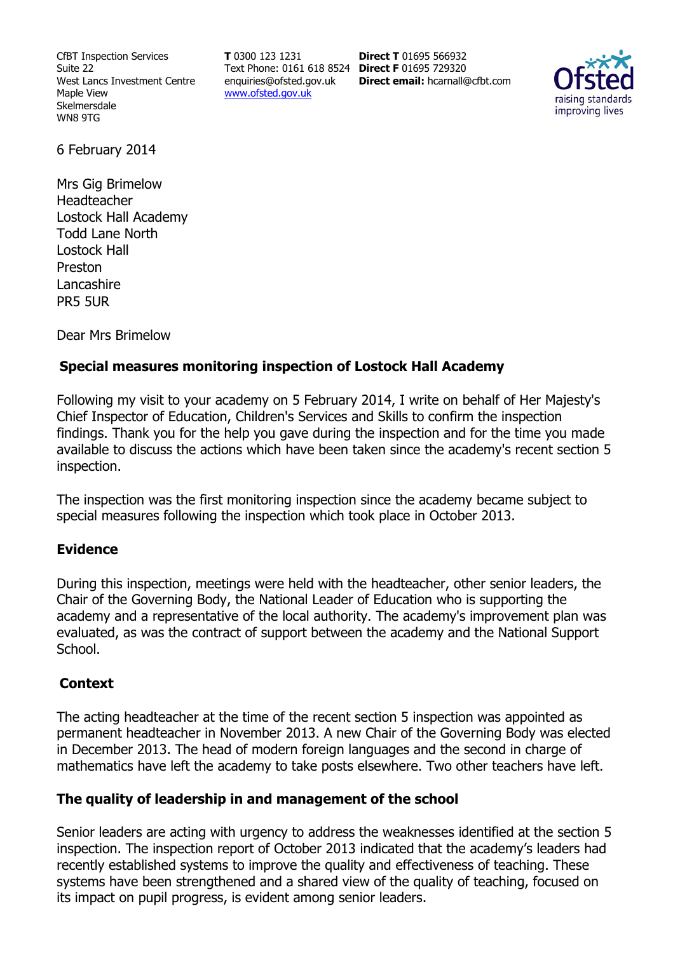CfBT Inspection Services Suite 22 West Lancs Investment Centre Maple View Skelmersdale WN8 9TG

**T** 0300 123 1231 Text Phone: 0161 618 8524 **Direct F** 01695 729320 enquiries@ofsted.gov.uk www.ofsted.gov.uk

**Direct T** 01695 566932 **Direct email:** hcarnall@cfbt.com



6 February 2014

Mrs Gig Brimelow Headteacher Lostock Hall Academy Todd Lane North Lostock Hall Preston Lancashire PR5 5UR

Dear Mrs Brimelow

## **Special measures monitoring inspection of Lostock Hall Academy**

Following my visit to your academy on 5 February 2014, I write on behalf of Her Majesty's Chief Inspector of Education, Children's Services and Skills to confirm the inspection findings. Thank you for the help you gave during the inspection and for the time you made available to discuss the actions which have been taken since the academy's recent section 5 inspection.

The inspection was the first monitoring inspection since the academy became subject to special measures following the inspection which took place in October 2013.

## **Evidence**

During this inspection, meetings were held with the headteacher, other senior leaders, the Chair of the Governing Body, the National Leader of Education who is supporting the academy and a representative of the local authority. The academy's improvement plan was evaluated, as was the contract of support between the academy and the National Support School.

## **Context**

The acting headteacher at the time of the recent section 5 inspection was appointed as permanent headteacher in November 2013. A new Chair of the Governing Body was elected in December 2013. The head of modern foreign languages and the second in charge of mathematics have left the academy to take posts elsewhere. Two other teachers have left.

## **The quality of leadership in and management of the school**

Senior leaders are acting with urgency to address the weaknesses identified at the section 5 inspection. The inspection report of October 2013 indicated that the academy's leaders had recently established systems to improve the quality and effectiveness of teaching. These systems have been strengthened and a shared view of the quality of teaching, focused on its impact on pupil progress, is evident among senior leaders.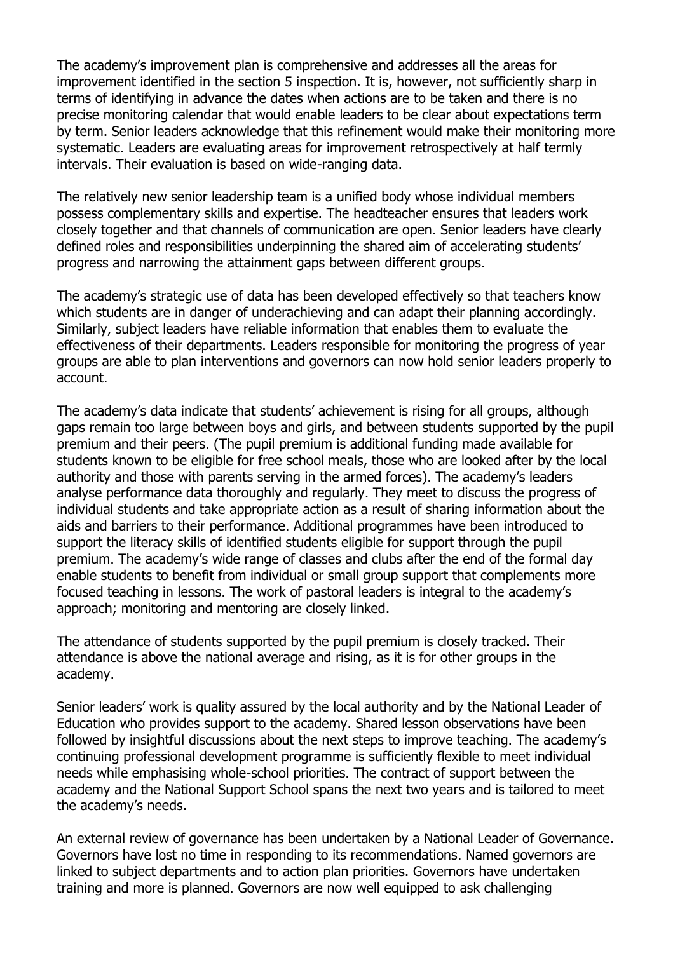The academy's improvement plan is comprehensive and addresses all the areas for improvement identified in the section 5 inspection. It is, however, not sufficiently sharp in terms of identifying in advance the dates when actions are to be taken and there is no precise monitoring calendar that would enable leaders to be clear about expectations term by term. Senior leaders acknowledge that this refinement would make their monitoring more systematic. Leaders are evaluating areas for improvement retrospectively at half termly intervals. Their evaluation is based on wide-ranging data.

The relatively new senior leadership team is a unified body whose individual members possess complementary skills and expertise. The headteacher ensures that leaders work closely together and that channels of communication are open. Senior leaders have clearly defined roles and responsibilities underpinning the shared aim of accelerating students' progress and narrowing the attainment gaps between different groups.

The academy's strategic use of data has been developed effectively so that teachers know which students are in danger of underachieving and can adapt their planning accordingly. Similarly, subject leaders have reliable information that enables them to evaluate the effectiveness of their departments. Leaders responsible for monitoring the progress of year groups are able to plan interventions and governors can now hold senior leaders properly to account.

The academy's data indicate that students' achievement is rising for all groups, although gaps remain too large between boys and girls, and between students supported by the pupil premium and their peers. (The pupil premium is additional funding made available for students known to be eligible for free school meals, those who are looked after by the local authority and those with parents serving in the armed forces). The academy's leaders analyse performance data thoroughly and regularly. They meet to discuss the progress of individual students and take appropriate action as a result of sharing information about the aids and barriers to their performance. Additional programmes have been introduced to support the literacy skills of identified students eligible for support through the pupil premium. The academy's wide range of classes and clubs after the end of the formal day enable students to benefit from individual or small group support that complements more focused teaching in lessons. The work of pastoral leaders is integral to the academy's approach; monitoring and mentoring are closely linked.

The attendance of students supported by the pupil premium is closely tracked. Their attendance is above the national average and rising, as it is for other groups in the academy.

Senior leaders' work is quality assured by the local authority and by the National Leader of Education who provides support to the academy. Shared lesson observations have been followed by insightful discussions about the next steps to improve teaching. The academy's continuing professional development programme is sufficiently flexible to meet individual needs while emphasising whole-school priorities. The contract of support between the academy and the National Support School spans the next two years and is tailored to meet the academy's needs.

An external review of governance has been undertaken by a National Leader of Governance. Governors have lost no time in responding to its recommendations. Named governors are linked to subject departments and to action plan priorities. Governors have undertaken training and more is planned. Governors are now well equipped to ask challenging